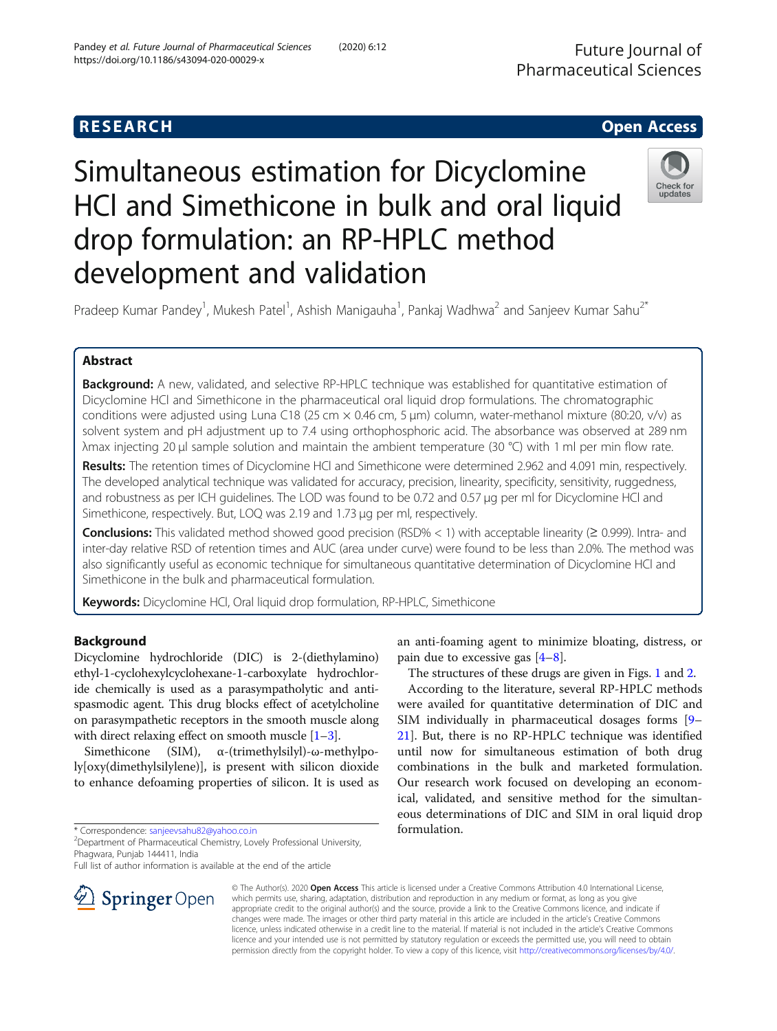# **RESEARCH CHE Open Access**

# Simultaneous estimation for Dicyclomine HCl and Simethicone in bulk and oral liquid drop formulation: an RP-HPLC method development and validation



Pradeep Kumar Pandey<sup>1</sup>, Mukesh Patel<sup>1</sup>, Ashish Manigauha<sup>1</sup>, Pankaj Wadhwa<sup>2</sup> and Sanjeev Kumar Sahu<sup>2\*</sup>

# Abstract

Background: A new, validated, and selective RP-HPLC technique was established for quantitative estimation of Dicyclomine HCl and Simethicone in the pharmaceutical oral liquid drop formulations. The chromatographic conditions were adjusted using Luna C18 (25 cm × 0.46 cm, 5 μm) column, water-methanol mixture (80:20, v/v) as solvent system and pH adjustment up to 7.4 using orthophosphoric acid. The absorbance was observed at 289 nm λmax injecting 20 μl sample solution and maintain the ambient temperature (30 °C) with 1 ml per min flow rate.

Results: The retention times of Dicyclomine HCl and Simethicone were determined 2.962 and 4.091 min, respectively. The developed analytical technique was validated for accuracy, precision, linearity, specificity, sensitivity, ruggedness, and robustness as per ICH guidelines. The LOD was found to be 0.72 and 0.57 μg per ml for Dicyclomine HCl and Simethicone, respectively. But, LOQ was 2.19 and 1.73 μg per ml, respectively.

**Conclusions:** This validated method showed good precision (RSD% < 1) with acceptable linearity ( $\geq$  0.999). Intra- and inter-day relative RSD of retention times and AUC (area under curve) were found to be less than 2.0%. The method was also significantly useful as economic technique for simultaneous quantitative determination of Dicyclomine HCl and Simethicone in the bulk and pharmaceutical formulation.

Keywords: Dicyclomine HCl, Oral liquid drop formulation, RP-HPLC, Simethicone

## Background

Dicyclomine hydrochloride (DIC) is 2-(diethylamino) ethyl-1-cyclohexylcyclohexane-1-carboxylate hydrochloride chemically is used as a parasympatholytic and antispasmodic agent. This drug blocks effect of acetylcholine on parasympathetic receptors in the smooth muscle along with direct relaxing effect on smooth muscle  $[1-3]$  $[1-3]$  $[1-3]$  $[1-3]$  $[1-3]$ .

Simethicone (SIM), α-(trimethylsilyl)-ω-methylpoly[oxy(dimethylsilylene)], is present with silicon dioxide to enhance defoaming properties of silicon. It is used as

\* Correspondence: [sanjeevsahu82@yahoo.co.in](mailto:sanjeevsahu82@yahoo.co.in) <sup>2</sup>

Department of Pharmaceutical Chemistry, Lovely Professional University, Phagwara, Punjab 144411, India

Full list of author information is available at the end of the article



an anti-foaming agent to minimize bloating, distress, or pain due to excessive gas [\[4](#page-6-0)–[8](#page-6-0)].

The structures of these drugs are given in Figs. [1](#page-1-0) and [2.](#page-1-0)

According to the literature, several RP-HPLC methods were availed for quantitative determination of DIC and SIM individually in pharmaceutical dosages forms [[9](#page-6-0)– [21\]](#page-7-0). But, there is no RP-HPLC technique was identified until now for simultaneous estimation of both drug combinations in the bulk and marketed formulation. Our research work focused on developing an economical, validated, and sensitive method for the simultaneous determinations of DIC and SIM in oral liquid drop formulation.

© The Author(s). 2020 Open Access This article is licensed under a Creative Commons Attribution 4.0 International License, which permits use, sharing, adaptation, distribution and reproduction in any medium or format, as long as you give appropriate credit to the original author(s) and the source, provide a link to the Creative Commons licence, and indicate if changes were made. The images or other third party material in this article are included in the article's Creative Commons licence, unless indicated otherwise in a credit line to the material. If material is not included in the article's Creative Commons licence and your intended use is not permitted by statutory regulation or exceeds the permitted use, you will need to obtain permission directly from the copyright holder. To view a copy of this licence, visit <http://creativecommons.org/licenses/by/4.0/>.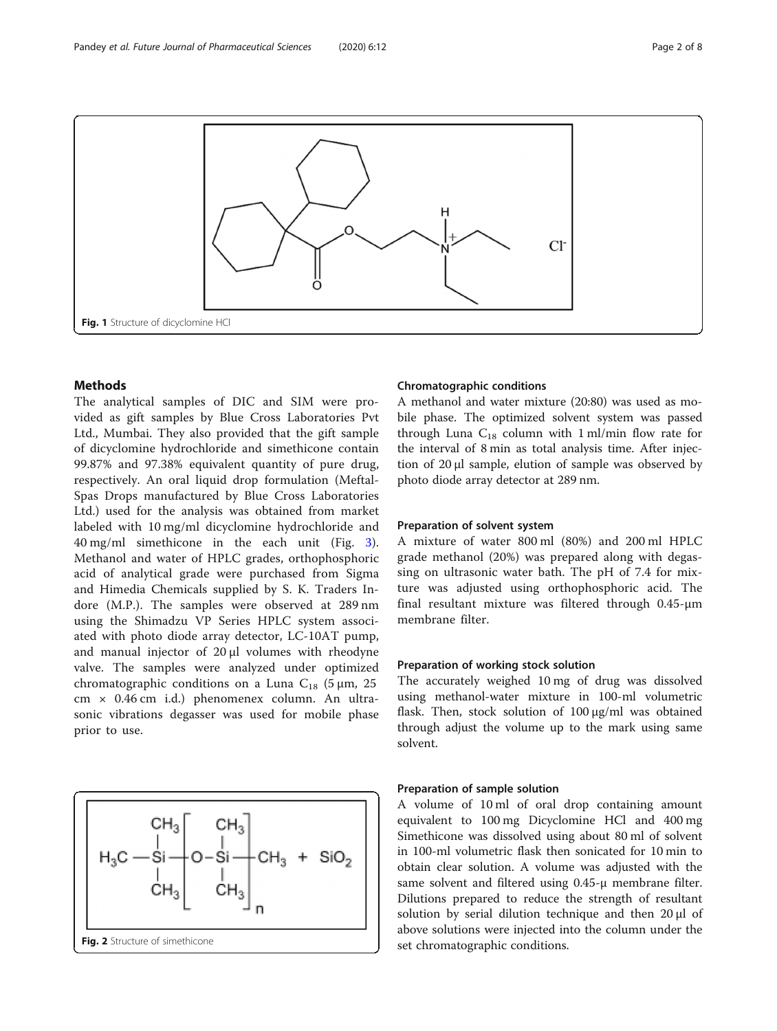<span id="page-1-0"></span>

### Methods

The analytical samples of DIC and SIM were provided as gift samples by Blue Cross Laboratories Pvt Ltd., Mumbai. They also provided that the gift sample of dicyclomine hydrochloride and simethicone contain 99.87% and 97.38% equivalent quantity of pure drug, respectively. An oral liquid drop formulation (Meftal-Spas Drops manufactured by Blue Cross Laboratories Ltd.) used for the analysis was obtained from market labeled with 10 mg/ml dicyclomine hydrochloride and 40 mg/ml simethicone in the each unit (Fig. [3](#page-2-0)). Methanol and water of HPLC grades, orthophosphoric acid of analytical grade were purchased from Sigma and Himedia Chemicals supplied by S. K. Traders Indore (M.P.). The samples were observed at 289 nm using the Shimadzu VP Series HPLC system associated with photo diode array detector, LC-10AT pump, and manual injector of 20 μl volumes with rheodyne valve. The samples were analyzed under optimized chromatographic conditions on a Luna  $C_{18}$  (5 µm, 25 cm × 0.46 cm i.d.) phenomenex column. An ultrasonic vibrations degasser was used for mobile phase prior to use.



#### Chromatographic conditions

A methanol and water mixture (20:80) was used as mobile phase. The optimized solvent system was passed through Luna  $C_{18}$  column with 1 ml/min flow rate for the interval of 8 min as total analysis time. After injection of 20 μl sample, elution of sample was observed by photo diode array detector at 289 nm.

#### Preparation of solvent system

A mixture of water 800 ml (80%) and 200 ml HPLC grade methanol (20%) was prepared along with degassing on ultrasonic water bath. The pH of 7.4 for mixture was adjusted using orthophosphoric acid. The final resultant mixture was filtered through 0.45-μm membrane filter.

#### Preparation of working stock solution

The accurately weighed 10 mg of drug was dissolved using methanol-water mixture in 100-ml volumetric flask. Then, stock solution of 100 μg/ml was obtained through adjust the volume up to the mark using same solvent.

#### Preparation of sample solution

A volume of 10 ml of oral drop containing amount equivalent to 100 mg Dicyclomine HCl and 400 mg Simethicone was dissolved using about 80 ml of solvent in 100-ml volumetric flask then sonicated for 10 min to obtain clear solution. A volume was adjusted with the same solvent and filtered using 0.45-μ membrane filter. Dilutions prepared to reduce the strength of resultant solution by serial dilution technique and then 20 μl of above solutions were injected into the column under the set chromatographic conditions.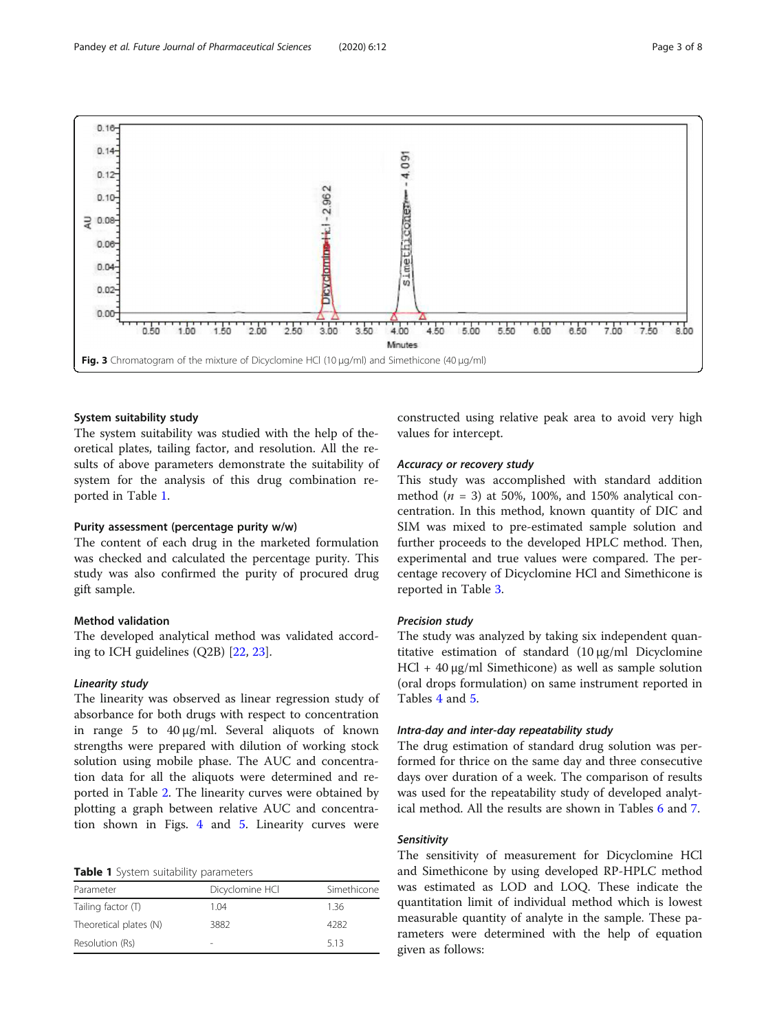<span id="page-2-0"></span>

#### System suitability study

The system suitability was studied with the help of theoretical plates, tailing factor, and resolution. All the results of above parameters demonstrate the suitability of system for the analysis of this drug combination reported in Table 1.

#### Purity assessment (percentage purity w/w)

The content of each drug in the marketed formulation was checked and calculated the percentage purity. This study was also confirmed the purity of procured drug gift sample.

#### Method validation

The developed analytical method was validated according to ICH guidelines (Q2B) [[22,](#page-7-0) [23](#page-7-0)].

#### Linearity study

The linearity was observed as linear regression study of absorbance for both drugs with respect to concentration in range 5 to 40 μg/ml. Several aliquots of known strengths were prepared with dilution of working stock solution using mobile phase. The AUC and concentration data for all the aliquots were determined and reported in Table [2](#page-3-0). The linearity curves were obtained by plotting a graph between relative AUC and concentration shown in Figs. [4](#page-3-0) and [5](#page-4-0). Linearity curves were

#### Table 1 System suitability parameters

| Parameter              | Dicyclomine HCl          | Simethicone |
|------------------------|--------------------------|-------------|
| Tailing factor (T)     | 1.04                     | 136         |
| Theoretical plates (N) | 3882                     | 4282        |
| Resolution (Rs)        | $\overline{\phantom{a}}$ | 513         |

constructed using relative peak area to avoid very high values for intercept.

#### Accuracy or recovery study

This study was accomplished with standard addition method ( $n = 3$ ) at 50%, 100%, and 150% analytical concentration. In this method, known quantity of DIC and SIM was mixed to pre-estimated sample solution and further proceeds to the developed HPLC method. Then, experimental and true values were compared. The percentage recovery of Dicyclomine HCl and Simethicone is reported in Table [3](#page-4-0).

#### Precision study

The study was analyzed by taking six independent quantitative estimation of standard (10 μg/ml Dicyclomine HCl + 40 μg/ml Simethicone) as well as sample solution (oral drops formulation) on same instrument reported in Tables [4](#page-5-0) and [5](#page-5-0).

#### Intra-day and inter-day repeatability study

The drug estimation of standard drug solution was performed for thrice on the same day and three consecutive days over duration of a week. The comparison of results was used for the repeatability study of developed analytical method. All the results are shown in Tables [6](#page-5-0) and [7.](#page-5-0)

#### Sensitivity

The sensitivity of measurement for Dicyclomine HCl and Simethicone by using developed RP-HPLC method was estimated as LOD and LOQ. These indicate the quantitation limit of individual method which is lowest measurable quantity of analyte in the sample. These parameters were determined with the help of equation given as follows: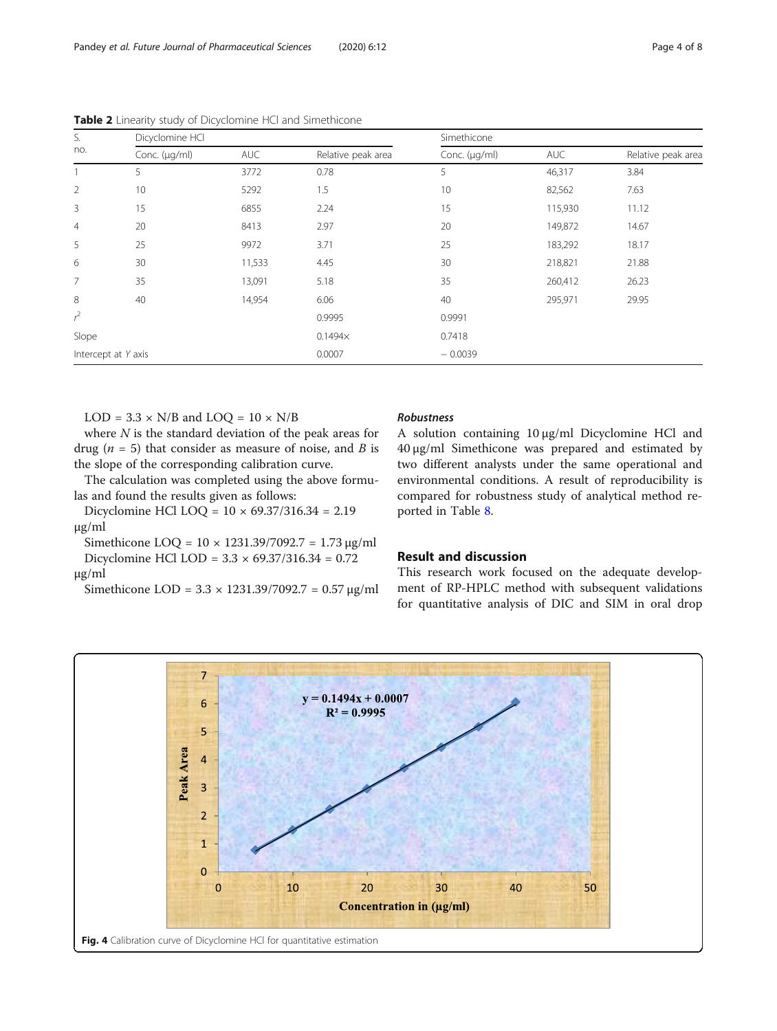| S.<br>no.           | Dicyclomine HCI |            |                    |               | Simethicone |                    |  |
|---------------------|-----------------|------------|--------------------|---------------|-------------|--------------------|--|
|                     | Conc. (µg/ml)   | <b>AUC</b> | Relative peak area | Conc. (µg/ml) | <b>AUC</b>  | Relative peak area |  |
|                     | 5               | 3772       | 0.78               | 5             | 46,317      | 3.84               |  |
| $\overline{2}$      | 10              | 5292       | 1.5                | 10            | 82,562      | 7.63               |  |
| 3                   | 15              | 6855       | 2.24               | 15            | 115,930     | 11.12              |  |
| $\overline{4}$      | 20              | 8413       | 2.97               | 20            | 149,872     | 14.67              |  |
| 5                   | 25              | 9972       | 3.71               | 25            | 183,292     | 18.17              |  |
| 6                   | 30              | 11,533     | 4.45               | 30            | 218,821     | 21.88              |  |
| $\overline{7}$      | 35              | 13,091     | 5.18               | 35            | 260,412     | 26.23              |  |
| 8                   | 40              | 14,954     | 6.06               | 40            | 295,971     | 29.95              |  |
| $r^2$               |                 |            | 0.9995             | 0.9991        |             |                    |  |
| Slope               |                 |            | $0.1494\times$     | 0.7418        |             |                    |  |
| Intercept at Y axis |                 |            | 0.0007             | $-0.0039$     |             |                    |  |

<span id="page-3-0"></span>Table 2 Linearity study of Dicyclomine HCl and Simethicone

 $LOD = 3.3 \times N/B$  and  $LOQ = 10 \times N/B$ 

where  $N$  is the standard deviation of the peak areas for drug ( $n = 5$ ) that consider as measure of noise, and B is the slope of the corresponding calibration curve.

The calculation was completed using the above formulas and found the results given as follows:

Dicyclomine HCl LOQ = 10 × 69.37/316.34 = 2.19 μg/ml

Simethicone LOQ =  $10 \times 1231.39/7092.7 = 1.73 \mu g/ml$ Dicyclomine HCl LOD = 3.3 × 69.37/316.34 = 0.72 μg/ml

Simethicone LOD = 3.3 × 1231.39/7092.7 = 0.57 μg/ml

#### Robustness

A solution containing 10 μg/ml Dicyclomine HCl and 40 μg/ml Simethicone was prepared and estimated by two different analysts under the same operational and environmental conditions. A result of reproducibility is compared for robustness study of analytical method reported in Table [8](#page-5-0).

#### Result and discussion

This research work focused on the adequate development of RP-HPLC method with subsequent validations for quantitative analysis of DIC and SIM in oral drop

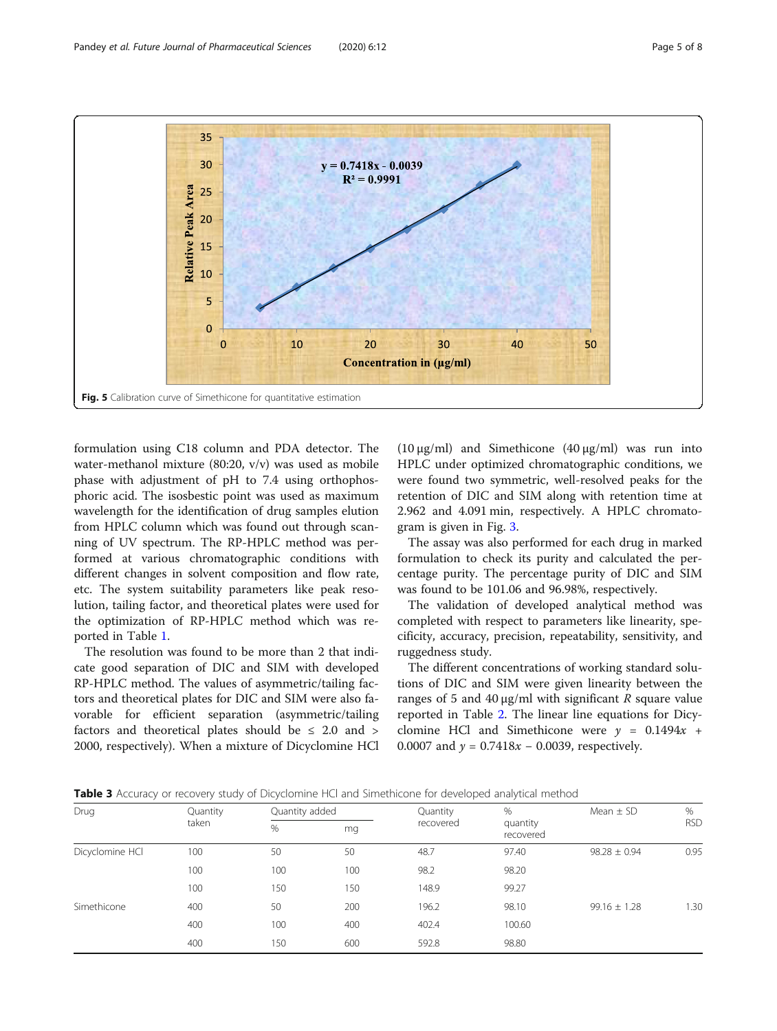<span id="page-4-0"></span>

formulation using C18 column and PDA detector. The water-methanol mixture (80:20, v/v) was used as mobile phase with adjustment of pH to 7.4 using orthophosphoric acid. The isosbestic point was used as maximum wavelength for the identification of drug samples elution from HPLC column which was found out through scanning of UV spectrum. The RP-HPLC method was performed at various chromatographic conditions with different changes in solvent composition and flow rate, etc. The system suitability parameters like peak resolution, tailing factor, and theoretical plates were used for the optimization of RP-HPLC method which was reported in Table [1](#page-2-0).

The resolution was found to be more than 2 that indicate good separation of DIC and SIM with developed RP-HPLC method. The values of asymmetric/tailing factors and theoretical plates for DIC and SIM were also favorable for efficient separation (asymmetric/tailing factors and theoretical plates should be  $\leq$  2.0 and  $>$ 2000, respectively). When a mixture of Dicyclomine HCl

(10  $\mu$ g/ml) and Simethicone (40  $\mu$ g/ml) was run into HPLC under optimized chromatographic conditions, we were found two symmetric, well-resolved peaks for the retention of DIC and SIM along with retention time at 2.962 and 4.091 min, respectively. A HPLC chromatogram is given in Fig. [3.](#page-2-0)

The assay was also performed for each drug in marked formulation to check its purity and calculated the percentage purity. The percentage purity of DIC and SIM was found to be 101.06 and 96.98%, respectively.

The validation of developed analytical method was completed with respect to parameters like linearity, specificity, accuracy, precision, repeatability, sensitivity, and ruggedness study.

The different concentrations of working standard solutions of DIC and SIM were given linearity between the ranges of 5 and 40  $\mu$ g/ml with significant R square value reported in Table [2.](#page-3-0) The linear line equations for Dicyclomine HCl and Simethicone were  $y = 0.1494x +$ 0.0007 and  $y = 0.7418x - 0.0039$ , respectively.

| Drug            | Quantity |     | Quantity added |           | $\%$                  | Mean $\pm$ SD    | $\%$       |
|-----------------|----------|-----|----------------|-----------|-----------------------|------------------|------------|
|                 | taken    | %   | mg             | recovered | quantity<br>recovered |                  | <b>RSD</b> |
| Dicyclomine HCl | 100      | 50  | 50             | 48.7      | 97.40                 | $98.28 \pm 0.94$ | 0.95       |
|                 | 100      | 100 | 100            | 98.2      | 98.20                 |                  |            |
|                 | 100      | 150 | 150            | 148.9     | 99.27                 |                  |            |
| Simethicone     | 400      | 50  | 200            | 196.2     | 98.10                 | $99.16 \pm 1.28$ | 1.30       |
|                 | 400      | 100 | 400            | 402.4     | 100.60                |                  |            |
|                 | 400      | 150 | 600            | 592.8     | 98.80                 |                  |            |

**Table 3** Accuracy or recovery study of Dicyclomine HCl and Simethicone for developed analytical method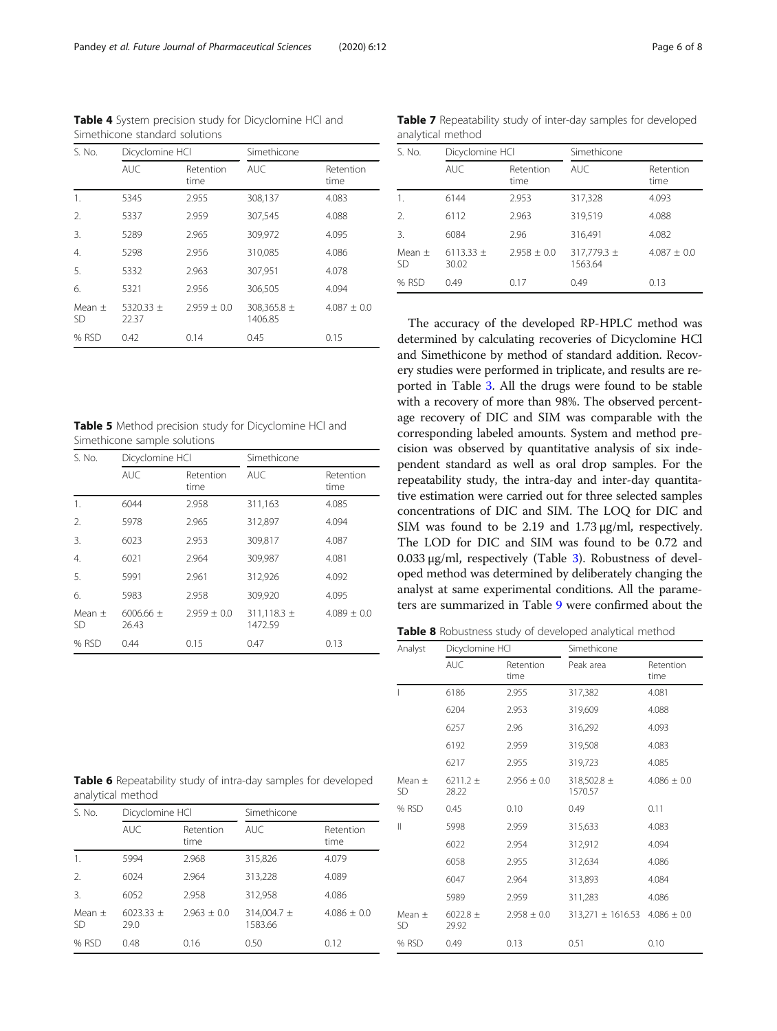| S. No.         | Dicyclomine HCI        |                   | Simethicone            |                   |
|----------------|------------------------|-------------------|------------------------|-------------------|
|                | <b>AUC</b>             | Retention<br>time | <b>AUC</b>             | Retention<br>time |
| 1.             | 5345                   | 2.955             | 308,137                | 4.083             |
| 2.             | 5337                   | 2.959             | 307,545                | 4.088             |
| 3.             | 5289                   | 2.965             | 309,972                | 4.095             |
| 4.             | 5298                   | 2.956             | 310,085                | 4.086             |
| 5.             | 5332                   | 2.963             | 307,951                | 4.078             |
| 6.             | 5321                   | 2.956             | 306,505                | 4.094             |
| Mean $+$<br>SD | 5320.33 $\pm$<br>22.37 | $7.959 + 0.0$     | 308,365.8 ±<br>1406.85 | $4.087 + 0.0$     |
| % RSD          | 0.42                   | 0.14              | 0.45                   | 0.15              |

<span id="page-5-0"></span>Table 4 System precision study for Dicyclomine HCl and Simethicone standard solutions

Table 5 Method precision study for Dicyclomine HCl and Simethicone sample solutions

| S. No.                | Dicyclomine HCl        |                   | Simethicone                |                   |
|-----------------------|------------------------|-------------------|----------------------------|-------------------|
|                       | <b>AUC</b>             | Retention<br>time | <b>AUC</b>                 | Retention<br>time |
| 1.                    | 6044                   | 2.958             | 311,163                    | 4.085             |
| 2.                    | 5978                   | 2.965             | 312,897                    | 4.094             |
| 3.                    | 6023                   | 2.953             | 309.817                    | 4.087             |
| 4.                    | 6021                   | 2.964             | 309,987                    | 4.081             |
| 5.                    | 5991                   | 2.961             | 312,926                    | 4.092             |
| 6.                    | 5983                   | 2.958             | 309,920                    | 4.095             |
| Mean $+$<br><b>SD</b> | 6006.66 $\pm$<br>26.43 | $2.959 \pm 0.0$   | 311,118.3 $\pm$<br>1472.59 | $4.089 \pm 0.0$   |
| % RSD                 | 0.44                   | 0.15              | 0.47                       | 0.13              |

Table 7 Repeatability study of inter-day samples for developed analytical method

| S. No.                | Dicyclomine HCI        |                   | Simethicone            |                   |
|-----------------------|------------------------|-------------------|------------------------|-------------------|
|                       | <b>AUC</b>             | Retention<br>time | <b>AUC</b>             | Retention<br>time |
| 1.                    | 6144                   | 2.953             | 317,328                | 4.093             |
| $\mathcal{D}_{\cdot}$ | 6112                   | 2.963             | 319,519                | 4.088             |
| 3.                    | 6084                   | 2.96              | 316,491                | 4.082             |
| Mean $+$<br><b>SD</b> | 6113.33 $\pm$<br>30.02 | $2.958 + 0.0$     | 317,779.3 ±<br>1563.64 | $4.087 \pm 0.0$   |
| % RSD                 | 0.49                   | 0.17              | 0.49                   | 0.13              |

The accuracy of the developed RP-HPLC method was determined by calculating recoveries of Dicyclomine HCl and Simethicone by method of standard addition. Recovery studies were performed in triplicate, and results are reported in Table [3](#page-4-0). All the drugs were found to be stable with a recovery of more than 98%. The observed percentage recovery of DIC and SIM was comparable with the corresponding labeled amounts. System and method precision was observed by quantitative analysis of six independent standard as well as oral drop samples. For the repeatability study, the intra-day and inter-day quantitative estimation were carried out for three selected samples concentrations of DIC and SIM. The LOQ for DIC and SIM was found to be 2.19 and 1.73 μg/ml, respectively. The LOD for DIC and SIM was found to be 0.72 and 0.033 μg/ml, respectively (Table [3\)](#page-4-0). Robustness of developed method was determined by deliberately changing the analyst at same experimental conditions. All the parameters are summarized in Table [9](#page-6-0) were confirmed about the

Table 8 Robustness study of developed analytical method

| Analyst          | Dicyclomine HCI       |                   | Simethicone            |                   |
|------------------|-----------------------|-------------------|------------------------|-------------------|
|                  | <b>AUC</b>            | Retention<br>time | Peak area              | Retention<br>time |
|                  | 6186                  | 2.955             | 317,382                | 4.081             |
|                  | 6204                  | 2.953             | 319,609                | 4.088             |
|                  | 6257                  | 2.96              | 316,292                | 4.093             |
|                  | 6192                  | 2.959             | 319,508                | 4.083             |
|                  | 6217                  | 2.955             | 319,723                | 4.085             |
| Mean $\pm$<br>SD | 6211.2 $\pm$<br>28.22 | $2.956 \pm 0.0$   | 318,502.8 ±<br>1570.57 | $4.086 \pm 0.0$   |
| % RSD            | 0.45                  | 0.10              | 0.49                   | 0.11              |
| Ш                | 5998                  | 2.959             | 315,633                | 4.083             |
|                  | 6022                  | 2.954             | 312,912                | 4.094             |
|                  | 6058                  | 2.955             | 312,634                | 4.086             |
|                  | 6047                  | 2.964             | 313,893                | 4.084             |
|                  | 5989                  | 2.959             | 311,283                | 4.086             |
| Mean $\pm$<br>SD | $6022.8 \pm$<br>29.92 | $2.958 \pm 0.0$   | $313,271 \pm 1616.53$  | $4.086 \pm 0.0$   |
| % RSD            | 0.49                  | 0.13              | 0.51                   | 0.10              |

Table 6 Repeatability study of intra-day samples for developed analytical method

| S. No.                  |                       | Dicyclomine HCI   |                        | Simethicone       |  |
|-------------------------|-----------------------|-------------------|------------------------|-------------------|--|
|                         | <b>AUC</b>            | Retention<br>time | AUC.                   | Retention<br>time |  |
| 1.                      | 5994                  | 2.968             | 315,826                | 4.079             |  |
| 2.                      | 6024                  | 2.964             | 313,228                | 4.089             |  |
| 3.                      | 6052                  | 2.958             | 312,958                | 4.086             |  |
| Mean $\pm$<br><b>SD</b> | 6023.33 $\pm$<br>29.0 | $2.963 \pm 0.0$   | 314,004.7 ±<br>1583.66 | $4.086 \pm 0.0$   |  |
| % RSD                   | 0.48                  | 0.16              | 0.50                   | 0.12              |  |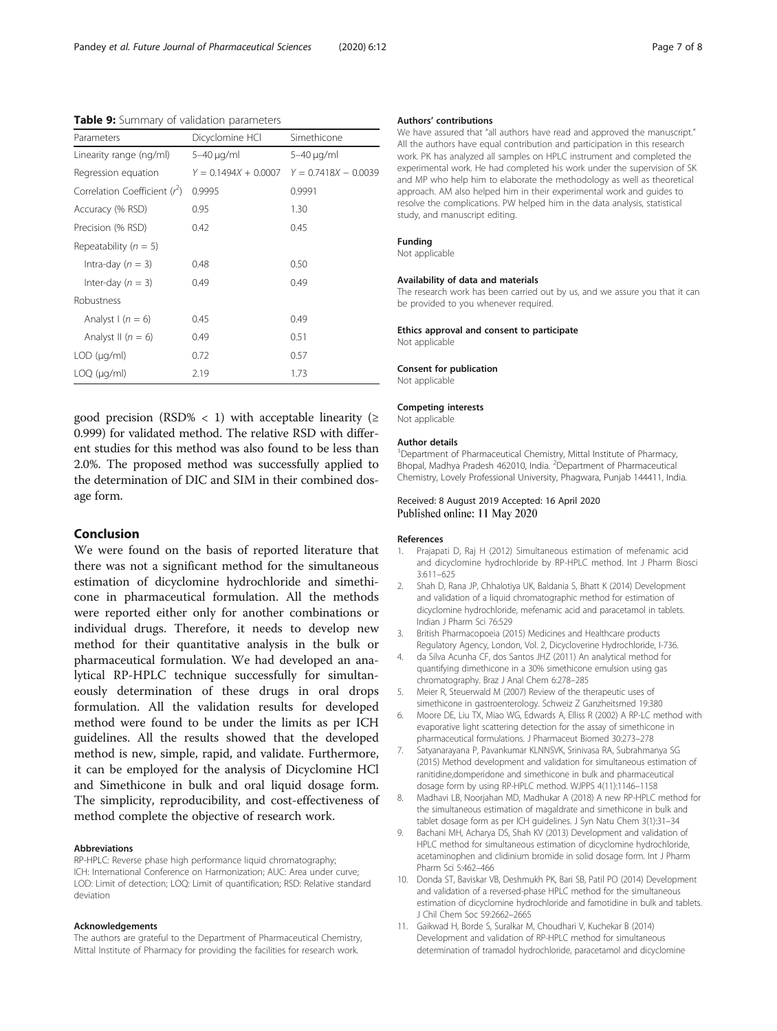<span id="page-6-0"></span>Table 9: Summary of validation parameters

| Parameters                     | Dicyclomine HCl        | Simethicone            |
|--------------------------------|------------------------|------------------------|
| Linearity range (ng/ml)        | 5–40 µg/ml             | 5-40 µg/ml             |
| Regression equation            | $Y = 0.1494X + 0.0007$ | $Y = 0.7418X - 0.0039$ |
| Correlation Coefficient $(r2)$ | 0.9995                 | 0.9991                 |
| Accuracy (% RSD)               | 0.95                   | 1.30                   |
| Precision (% RSD)              | 0.42                   | 0.45                   |
| Repeatability ( $n = 5$ )      |                        |                        |
| Intra-day $(n = 3)$            | 0.48                   | 0.50                   |
| Inter-day $(n = 3)$            | 0.49                   | 0.49                   |
| Robustness                     |                        |                        |
| Analyst $(n = 6)$              | 0.45                   | 0.49                   |
| Analyst II ( $n = 6$ )         | 0.49                   | 0.51                   |
| $LOD$ ( $\mu$ g/ml)            | 0.72                   | 0.57                   |
| $LOQ$ ( $\mu$ g/ml)            | 2.19                   | 1.73                   |

good precision (RSD% < 1) with acceptable linearity ( $\ge$ 0.999) for validated method. The relative RSD with different studies for this method was also found to be less than 2.0%. The proposed method was successfully applied to the determination of DIC and SIM in their combined dosage form.

#### Conclusion

We were found on the basis of reported literature that there was not a significant method for the simultaneous estimation of dicyclomine hydrochloride and simethicone in pharmaceutical formulation. All the methods were reported either only for another combinations or individual drugs. Therefore, it needs to develop new method for their quantitative analysis in the bulk or pharmaceutical formulation. We had developed an analytical RP-HPLC technique successfully for simultaneously determination of these drugs in oral drops formulation. All the validation results for developed method were found to be under the limits as per ICH guidelines. All the results showed that the developed method is new, simple, rapid, and validate. Furthermore, it can be employed for the analysis of Dicyclomine HCl and Simethicone in bulk and oral liquid dosage form. The simplicity, reproducibility, and cost-effectiveness of method complete the objective of research work.

#### Abbreviations

RP-HPLC: Reverse phase high performance liquid chromatography; ICH: International Conference on Harmonization; AUC: Area under curve; LOD: Limit of detection; LOQ: Limit of quantification; RSD: Relative standard deviation

#### Acknowledgements

The authors are grateful to the Department of Pharmaceutical Chemistry, Mittal Institute of Pharmacy for providing the facilities for research work.

#### Authors' contributions

We have assured that "all authors have read and approved the manuscript." All the authors have equal contribution and participation in this research work. PK has analyzed all samples on HPLC instrument and completed the experimental work. He had completed his work under the supervision of SK and MP who help him to elaborate the methodology as well as theoretical approach. AM also helped him in their experimental work and guides to resolve the complications. PW helped him in the data analysis, statistical study, and manuscript editing.

#### Funding

Not applicable

# Availability of data and materials

The research work has been carried out by us, and we assure you that it can be provided to you whenever required.

#### Ethics approval and consent to participate

Not applicable

#### Consent for publication

Not applicable

#### Competing interests

Not applicable

#### Author details

<sup>1</sup>Department of Pharmaceutical Chemistry, Mittal Institute of Pharmacy, Bhopal, Madhya Pradesh 462010, India. <sup>2</sup>Department of Pharmaceutical Chemistry, Lovely Professional University, Phagwara, Punjab 144411, India.

Received: 8 August 2019 Accepted: 16 April 2020 Published online: 11 May 2020

#### References

- 1. Prajapati D, Raj H (2012) Simultaneous estimation of mefenamic acid and dicyclomine hydrochloride by RP-HPLC method. Int J Pharm Biosci 3:611–625
- 2. Shah D, Rana JP, Chhalotiya UK, Baldania S, Bhatt K (2014) Development and validation of a liquid chromatographic method for estimation of dicyclomine hydrochloride, mefenamic acid and paracetamol in tablets. Indian J Pharm Sci 76:529
- 3. British Pharmacopoeia (2015) Medicines and Healthcare products Regulatory Agency, London, Vol. 2, Dicycloverine Hydrochloride, I-736.
- 4. da Silva Acunha CF, dos Santos JHZ (2011) An analytical method for quantifying dimethicone in a 30% simethicone emulsion using gas chromatography. Braz J Anal Chem 6:278–285
- 5. Meier R, Steuerwald M (2007) Review of the therapeutic uses of simethicone in gastroenterology. Schweiz Z Ganzheitsmed 19:380
- 6. Moore DE, Liu TX, Miao WG, Edwards A, Elliss R (2002) A RP-LC method with evaporative light scattering detection for the assay of simethicone in pharmaceutical formulations. J Pharmaceut Biomed 30:273–278
- 7. Satyanarayana P, Pavankumar KLNNSVK, Srinivasa RA, Subrahmanya SG (2015) Method development and validation for simultaneous estimation of ranitidine,domperidone and simethicone in bulk and pharmaceutical dosage form by using RP-HPLC method. WJPPS 4(11):1146–1158
- 8. Madhavi LB, Noorjahan MD, Madhukar A (2018) A new RP-HPLC method for the simultaneous estimation of magaldrate and simethicone in bulk and tablet dosage form as per ICH guidelines. J Syn Natu Chem 3(1):31–34
- 9. Bachani MH, Acharya DS, Shah KV (2013) Development and validation of HPLC method for simultaneous estimation of dicyclomine hydrochloride, acetaminophen and clidinium bromide in solid dosage form. Int J Pharm Pharm Sci 5:462–466
- 10. Donda ST, Baviskar VB, Deshmukh PK, Bari SB, Patil PO (2014) Development and validation of a reversed-phase HPLC method for the simultaneous estimation of dicyclomine hydrochloride and famotidine in bulk and tablets. J Chil Chem Soc 59:2662–2665
- 11. Gaikwad H, Borde S, Suralkar M, Choudhari V, Kuchekar B (2014) Development and validation of RP-HPLC method for simultaneous determination of tramadol hydrochloride, paracetamol and dicyclomine